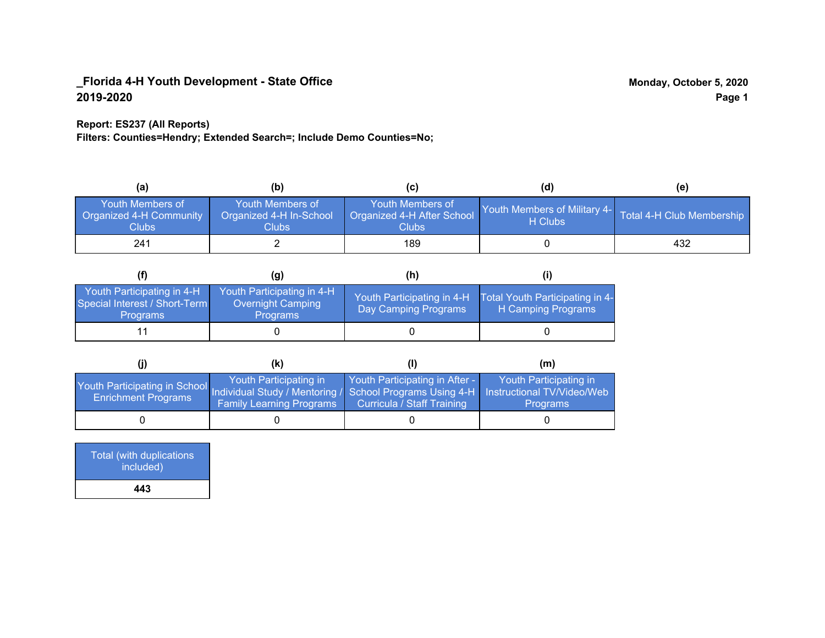### **Report: ES237 (All Reports)**

**Filters: Counties=Hendry; Extended Search=; Include Demo Counties=No;**

| (a)                                                         | (b)                                                   | (C)                                                       | (d)                                     | (e)                       |
|-------------------------------------------------------------|-------------------------------------------------------|-----------------------------------------------------------|-----------------------------------------|---------------------------|
| <b>Youth Members of</b><br>Organized 4-H Community<br>Clubs | Youth Members of<br>Organized 4-H In-School<br>Clubs: | Youth Members of<br>Organized 4-H After School<br>Clubs : | Youth Members of Military 4-<br>H Clubs | Total 4-H Club Membership |
| 241                                                         |                                                       | 189                                                       |                                         | 432                       |

|                                                                                | (g)                                                                | (h)                                                |                                                       |
|--------------------------------------------------------------------------------|--------------------------------------------------------------------|----------------------------------------------------|-------------------------------------------------------|
| Youth Participating in 4-H<br>Special Interest / Short-Term<br><b>Programs</b> | Youth Participating in 4-H<br>Overnight Camping<br><b>Programs</b> | Youth Participating in 4-H<br>Day Camping Programs | Total Youth Participating in 4-<br>H Camping Programs |
|                                                                                |                                                                    |                                                    |                                                       |

|                                                                                                                                                 | (K)                                                       |                                                                     | (m)                                       |
|-------------------------------------------------------------------------------------------------------------------------------------------------|-----------------------------------------------------------|---------------------------------------------------------------------|-------------------------------------------|
| Youth Participating in School Individual Study / Mentoring / School Programs Using 4-H Instructional TV/Video/Web<br><b>Enrichment Programs</b> | Youth Participating in<br><b>Family Learning Programs</b> | Youth Participating in After -<br><b>Curricula / Staff Training</b> | Youth Participating in<br><b>Programs</b> |
|                                                                                                                                                 |                                                           |                                                                     |                                           |

| Total (with duplications<br>included) |
|---------------------------------------|
| 443                                   |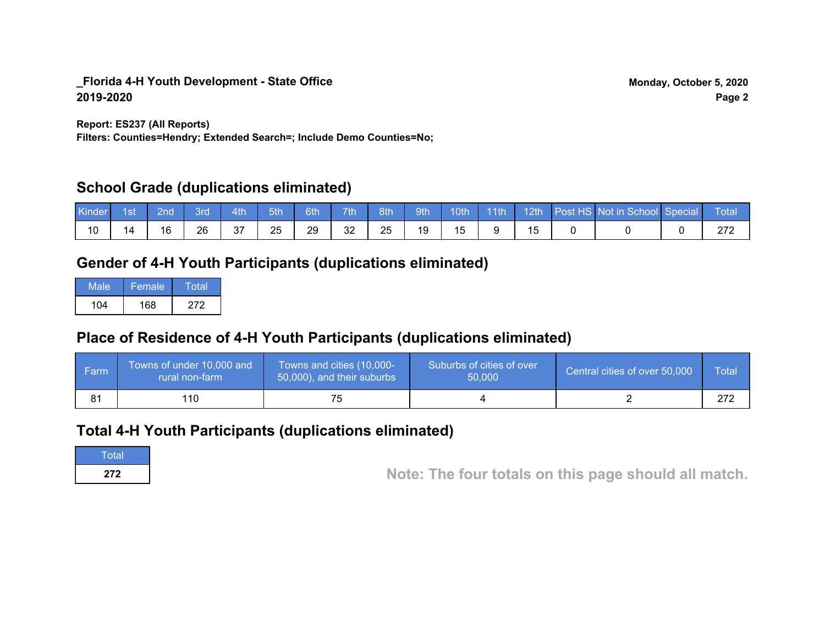**Report: ES237 (All Reports)**

**Filters: Counties=Hendry; Extended Search=; Include Demo Counties=No;**

## **School Grade (duplications eliminated)**

| Kinder | 1st | 2nd' | <b>Brd</b> | 4th       | 5th | 6th | 7 <sup>th</sup> | 8th | 9th |           | 10th 11th |  | 12th Post HS Not in School Special | <b>NTota</b> N |
|--------|-----|------|------------|-----------|-----|-----|-----------------|-----|-----|-----------|-----------|--|------------------------------------|----------------|
| 10     | 14  | 16   | 26         | 27<br>، ب | 25  | 29  | 32              | 25  | 19  | <b>15</b> |           |  |                                    | ົ້             |

## **Gender of 4-H Youth Participants (duplications eliminated)**

| Male | Female | Total |
|------|--------|-------|
| 104  | 168    | 272   |

## **Place of Residence of 4-H Youth Participants (duplications eliminated)**

| l Farmi | Towns of under 10,000 and<br>rural non-farm | Towns and cities (10,000-<br>50,000), and their suburbs | Suburbs of cities of over<br>50,000 | Central cities of over 50,000 | Total |
|---------|---------------------------------------------|---------------------------------------------------------|-------------------------------------|-------------------------------|-------|
|         | 110                                         |                                                         |                                     |                               | מדמ   |

## **Total 4-H Youth Participants (duplications eliminated)**

Total

**272 Note: The four totals on this page should all match.**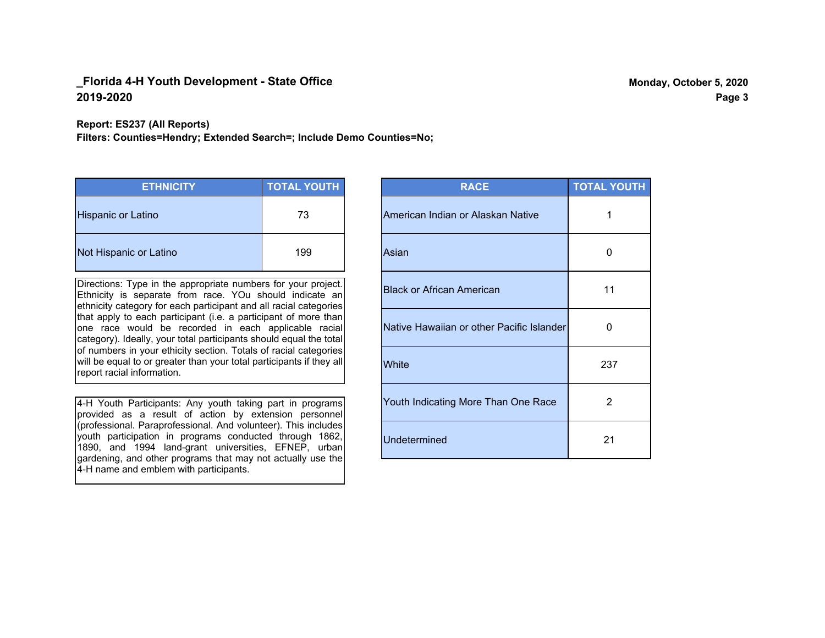#### **Report: ES237 (All Reports)**

**Filters: Counties=Hendry; Extended Search=; Include Demo Counties=No;**

| <b>ETHNICITY</b>          | <b>TOTAL YOUTH</b> |
|---------------------------|--------------------|
| <b>Hispanic or Latino</b> | 73                 |
| Not Hispanic or Latino    | 199                |

Directions: Type in the appropriate numbers for your project. Ethnicity is separate from race. YOu should indicate an ethnicity category for each participant and all racial categories that apply to each participant (i.e. a participant of more than one race would be recorded in each applicable racial category). Ideally, your total participants should equal the total of numbers in your ethicity section. Totals of racial categories will be equal to or greater than your total participants if they all report racial information.

4-H Youth Participants: Any youth taking part in programs provided as a result of action by extension personnel (professional. Paraprofessional. And volunteer). This includes youth participation in programs conducted through 1862, 1890, and 1994 land-grant universities, EFNEP, urban gardening, and other programs that may not actually use the 4-H name and emblem with participants.

| <b>RACE</b>                               | <b>TOTAL YOUTH</b> |
|-------------------------------------------|--------------------|
| American Indian or Alaskan Native         | 1                  |
| Asian                                     | O                  |
| <b>Black or African American</b>          | 11                 |
| Native Hawaiian or other Pacific Islander | 0                  |
| White                                     | 237                |
| Youth Indicating More Than One Race       | 2                  |
| <b>Undetermined</b>                       | 21                 |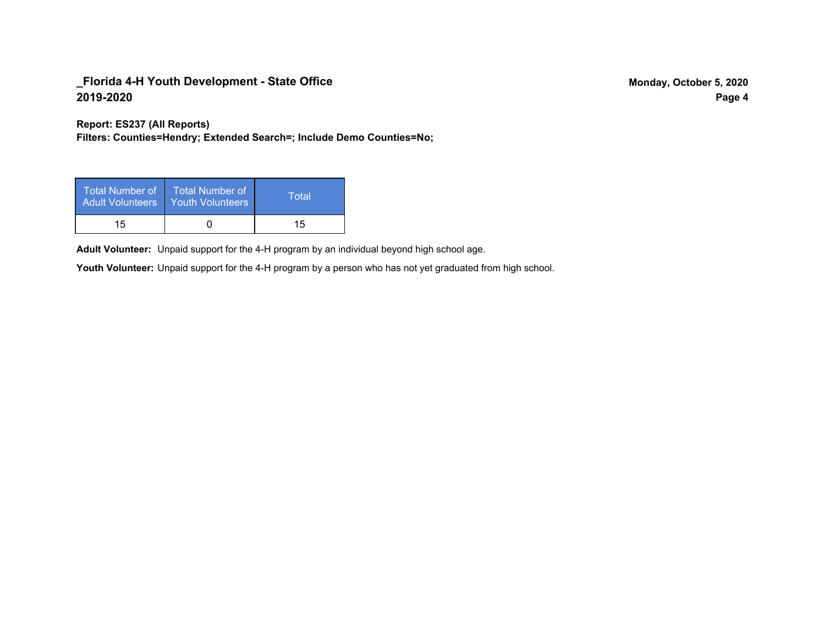**Report: ES237 (All Reports)**

**Filters: Counties=Hendry; Extended Search=; Include Demo Counties=No;**

| Total Number of<br><b>Adult Volunteers</b> | <b>Total Number of</b><br><b>Youth Volunteers</b> | Total |
|--------------------------------------------|---------------------------------------------------|-------|
| 15                                         |                                                   | 15    |

Adult Volunteer: Unpaid support for the 4-H program by an individual beyond high school age.

Youth Volunteer: Unpaid support for the 4-H program by a person who has not yet graduated from high school.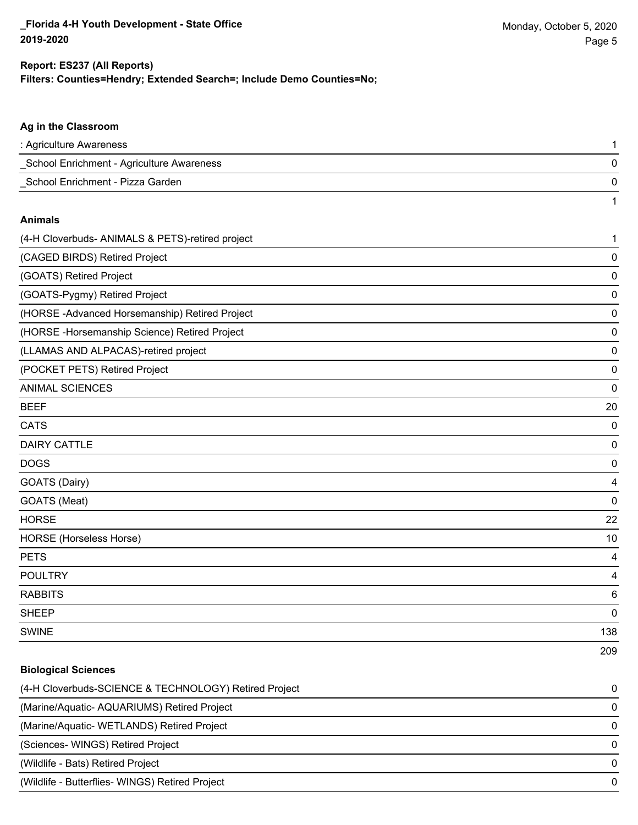209

#### **Filters: Counties=Hendry; Extended Search=; Include Demo Counties=No; Report: ES237 (All Reports)**

# **Ag in the Classroom** : Agriculture Awareness 1 \_School Enrichment - Agriculture Awareness 0 \_School Enrichment - Pizza Garden 0 1 **Animals** (4-H Cloverbuds- ANIMALS & PETS)-retired project 1 (CAGED BIRDS) Retired Project 0 (GOATS) Retired Project 0 (GOATS-Pygmy) Retired Project 0 (HORSE -Advanced Horsemanship) Retired Project 0 (HORSE -Horsemanship Science) Retired Project 0 (LLAMAS AND ALPACAS)-retired project 0 (POCKET PETS) Retired Project 0 ANIMAL SCIENCES 0 BEEF 20 CATS 0 DAIRY CATTLE 0 DOGS 0 GOATS (Dairy) 4 GOATS (Meat) 0 HORSE 22 HORSE (Horseless Horse) 10 PETS 4 POULTRY 4 RABBITS 6 sheep to the control of the control of the control of the control of the control of the control of the control of the control of the control of the control of the control of the control of the control of the control of the SWINE 138

| <b>Biological Sciences</b>                            |              |
|-------------------------------------------------------|--------------|
| (4-H Cloverbuds-SCIENCE & TECHNOLOGY) Retired Project | 0            |
| (Marine/Aquatic-AQUARIUMS) Retired Project            | 0            |
| (Marine/Aquatic-WETLANDS) Retired Project             | O            |
| (Sciences- WINGS) Retired Project                     | <sup>0</sup> |
| (Wildlife - Bats) Retired Project                     | O            |
| (Wildlife - Butterflies- WINGS) Retired Project       | O            |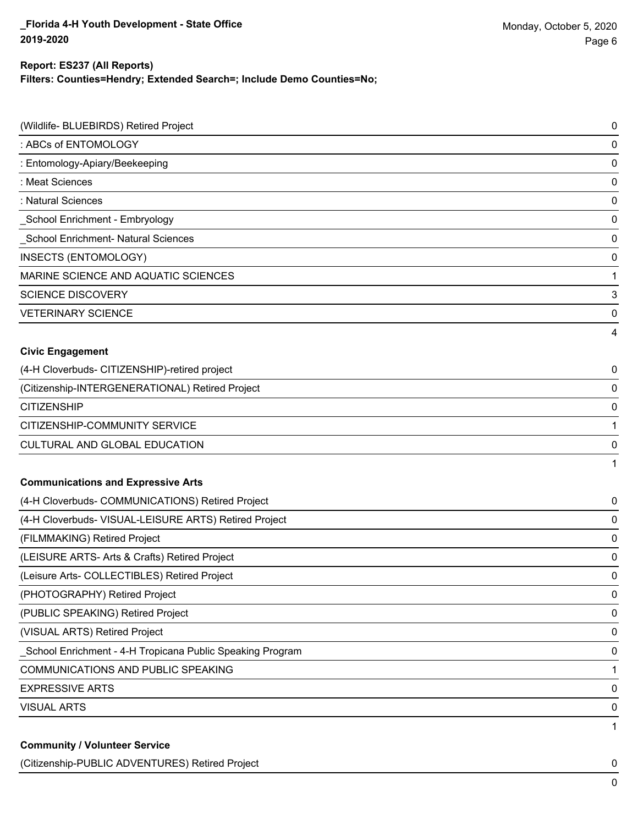#### **Filters: Counties=Hendry; Extended Search=; Include Demo Counties=No; Report: ES237 (All Reports)**

| (Wildlife- BLUEBIRDS) Retired Project                     | 0           |
|-----------------------------------------------------------|-------------|
| : ABCs of ENTOMOLOGY                                      | 0           |
| : Entomology-Apiary/Beekeeping                            | $\mathbf 0$ |
| : Meat Sciences                                           | 0           |
| : Natural Sciences                                        | $\mathbf 0$ |
| School Enrichment - Embryology                            | 0           |
| School Enrichment- Natural Sciences                       | $\mathbf 0$ |
| <b>INSECTS (ENTOMOLOGY)</b>                               | 0           |
| MARINE SCIENCE AND AQUATIC SCIENCES                       | 1           |
| <b>SCIENCE DISCOVERY</b>                                  | 3           |
| <b>VETERINARY SCIENCE</b>                                 | 0           |
|                                                           | 4           |
| <b>Civic Engagement</b>                                   |             |
| (4-H Cloverbuds- CITIZENSHIP)-retired project             | 0           |
| (Citizenship-INTERGENERATIONAL) Retired Project           | 0           |
| <b>CITIZENSHIP</b>                                        | 0           |
| CITIZENSHIP-COMMUNITY SERVICE                             | 1           |
| CULTURAL AND GLOBAL EDUCATION                             | 0           |
|                                                           | 1           |
| <b>Communications and Expressive Arts</b>                 |             |
| (4-H Cloverbuds- COMMUNICATIONS) Retired Project          | 0           |
| (4-H Cloverbuds- VISUAL-LEISURE ARTS) Retired Project     | 0           |
| (FILMMAKING) Retired Project                              | 0           |
| (LEISURE ARTS- Arts & Crafts) Retired Project             | 0           |
| (Leisure Arts- COLLECTIBLES) Retired Project              | 0           |
| (PHOTOGRAPHY) Retired Project                             | 0           |
| (PUBLIC SPEAKING) Retired Project                         | $\mathbf 0$ |
| (VISUAL ARTS) Retired Project                             | $\mathbf 0$ |
| School Enrichment - 4-H Tropicana Public Speaking Program | 0           |
| COMMUNICATIONS AND PUBLIC SPEAKING                        | 1           |
| <b>EXPRESSIVE ARTS</b>                                    | 0           |
| <b>VISUAL ARTS</b>                                        | 0           |
|                                                           | 1           |
| <b>Community / Volunteer Service</b>                      |             |

(Citizenship-PUBLIC ADVENTURES) Retired Project 0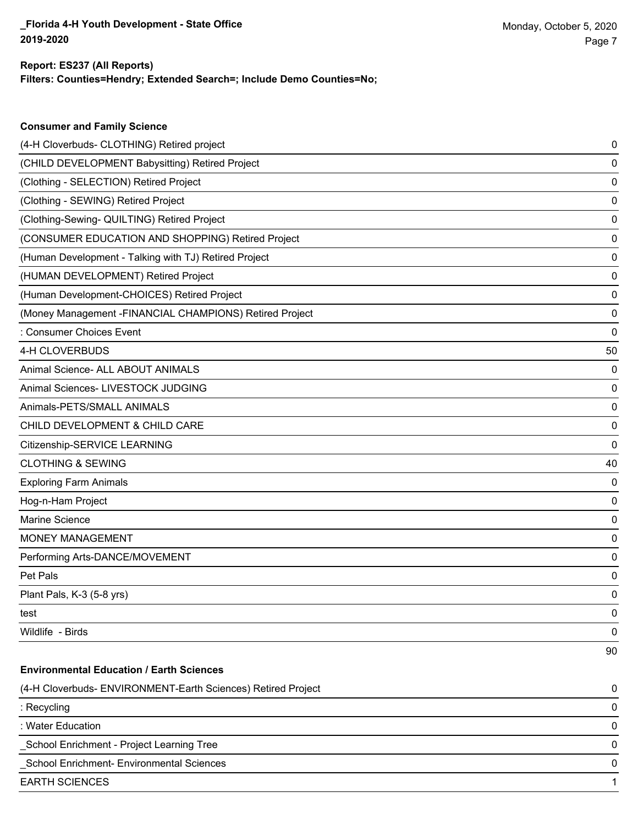**Consumer and Family Science**

#### **Filters: Counties=Hendry; Extended Search=; Include Demo Counties=No; Report: ES237 (All Reports)**

| (4-H Cloverbuds- CLOTHING) Retired project                   | 0  |
|--------------------------------------------------------------|----|
| (CHILD DEVELOPMENT Babysitting) Retired Project              | 0  |
| (Clothing - SELECTION) Retired Project                       | 0  |
| (Clothing - SEWING) Retired Project                          | 0  |
| (Clothing-Sewing- QUILTING) Retired Project                  | 0  |
| (CONSUMER EDUCATION AND SHOPPING) Retired Project            | 0  |
| (Human Development - Talking with TJ) Retired Project        | 0  |
| (HUMAN DEVELOPMENT) Retired Project                          | 0  |
| (Human Development-CHOICES) Retired Project                  | 0  |
| (Money Management - FINANCIAL CHAMPIONS) Retired Project     | 0  |
| : Consumer Choices Event                                     | 0  |
| 4-H CLOVERBUDS                                               | 50 |
| Animal Science- ALL ABOUT ANIMALS                            | 0  |
| Animal Sciences- LIVESTOCK JUDGING                           | 0  |
| Animals-PETS/SMALL ANIMALS                                   | 0  |
| CHILD DEVELOPMENT & CHILD CARE                               | 0  |
| Citizenship-SERVICE LEARNING                                 | 0  |
| <b>CLOTHING &amp; SEWING</b>                                 | 40 |
| <b>Exploring Farm Animals</b>                                | 0  |
| Hog-n-Ham Project                                            | 0  |
| Marine Science                                               | 0  |
| MONEY MANAGEMENT                                             | 0  |
| Performing Arts-DANCE/MOVEMENT                               | 0  |
| Pet Pals                                                     | 0  |
| Plant Pals, K-3 (5-8 yrs)                                    | 0  |
| test                                                         | 0  |
| Wildlife - Birds                                             | 0  |
|                                                              | 90 |
| <b>Environmental Education / Earth Sciences</b>              |    |
| (4-H Cloverbuds- ENVIRONMENT-Earth Sciences) Retired Project | 0  |
| : Recycling                                                  | 0  |
| : Water Education                                            | 0  |
| School Enrichment - Project Learning Tree                    | 0  |
| School Enrichment- Environmental Sciences                    | 0  |
| <b>EARTH SCIENCES</b>                                        | 1  |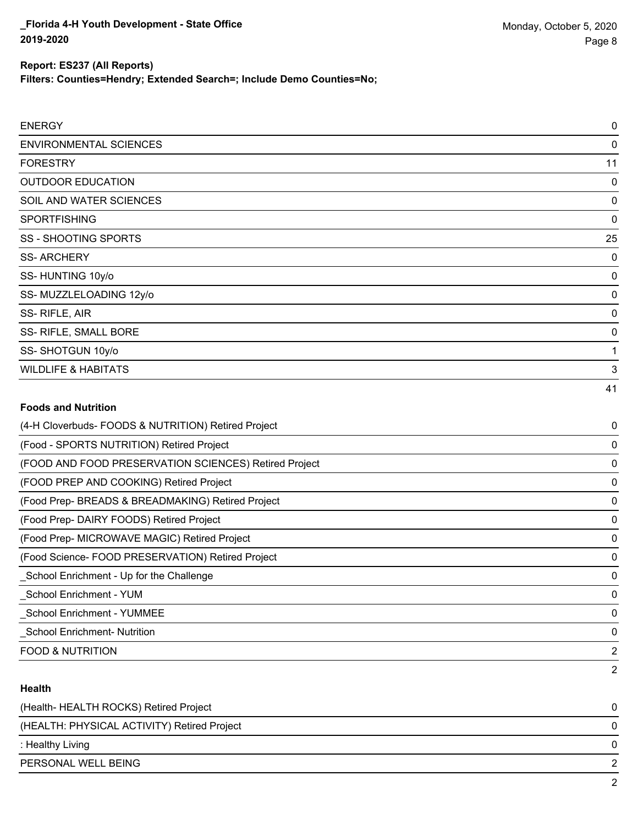**Filters: Counties=Hendry; Extended Search=; Include Demo Counties=No;**

| <b>ENERGY</b>                                       | 0  |
|-----------------------------------------------------|----|
| <b>ENVIRONMENTAL SCIENCES</b>                       | 0  |
| <b>FORESTRY</b>                                     | 11 |
| <b>OUTDOOR EDUCATION</b>                            | 0  |
| SOIL AND WATER SCIENCES                             | 0  |
| <b>SPORTFISHING</b>                                 | 0  |
| <b>SS-SHOOTING SPORTS</b>                           | 25 |
| <b>SS-ARCHERY</b>                                   | 0  |
| SS-HUNTING 10y/o                                    | 0  |
| SS-MUZZLELOADING 12y/o                              | 0  |
| SS-RIFLE, AIR                                       | 0  |
| SS- RIFLE, SMALL BORE                               | 0  |
| SS-SHOTGUN 10y/o                                    |    |
| <b>WILDLIFE &amp; HABITATS</b>                      | 3  |
|                                                     | 41 |
| <b>Foods and Nutrition</b>                          |    |
| (4-H Cloverbuds- FOODS & NUTRITION) Retired Project | 0  |
| (Food CDODTC NILITDITION) Detired Droiget           | ∩  |

| (4-H Cloverbuds- FOODS & NOTRITION) Retired Project   | U              |
|-------------------------------------------------------|----------------|
| (Food - SPORTS NUTRITION) Retired Project             | 0              |
| (FOOD AND FOOD PRESERVATION SCIENCES) Retired Project | 0              |
| (FOOD PREP AND COOKING) Retired Project               | 0              |
| (Food Prep- BREADS & BREADMAKING) Retired Project     | 0              |
| (Food Prep- DAIRY FOODS) Retired Project              | 0              |
| (Food Prep- MICROWAVE MAGIC) Retired Project          | 0              |
| (Food Science- FOOD PRESERVATION) Retired Project     | 0              |
| School Enrichment - Up for the Challenge              | 0              |
| School Enrichment - YUM                               | 0              |
| <b>School Enrichment - YUMMEE</b>                     | 0              |
| <b>School Enrichment- Nutrition</b>                   | 0              |
| <b>FOOD &amp; NUTRITION</b>                           | $\overline{2}$ |
|                                                       | 2              |

### **Health**

| (Health-HEALTH ROCKS) Retired Project       | 0 |
|---------------------------------------------|---|
| (HEALTH: PHYSICAL ACTIVITY) Retired Project | 0 |
| : Healthy Living                            | 0 |
| PERSONAL WELL BEING                         |   |
|                                             | ົ |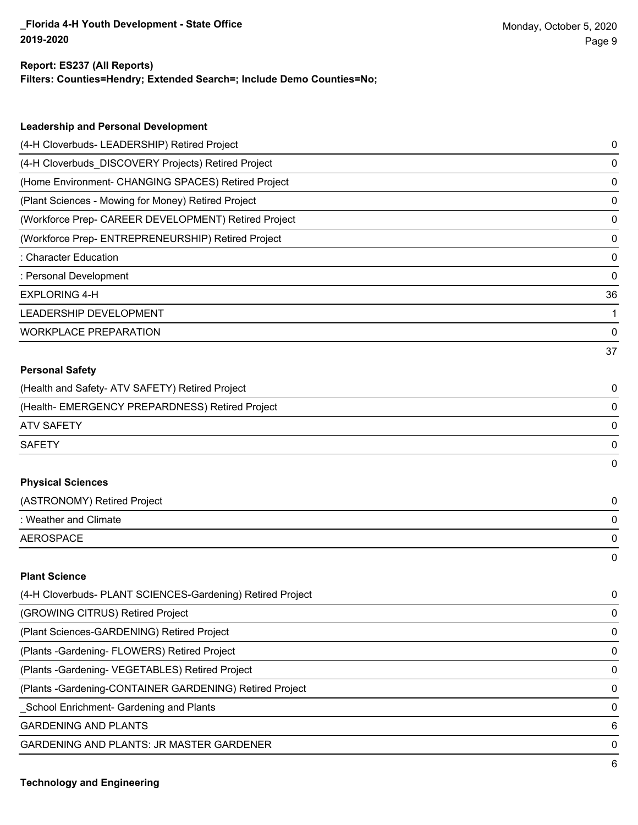#### **Report: ES237 (All Reports)**

**Filters: Counties=Hendry; Extended Search=; Include Demo Counties=No;**

| <b>Leadership and Personal Development</b>                 |    |
|------------------------------------------------------------|----|
| (4-H Cloverbuds- LEADERSHIP) Retired Project               | 0  |
| (4-H Cloverbuds_DISCOVERY Projects) Retired Project        | 0  |
| (Home Environment- CHANGING SPACES) Retired Project        | 0  |
| (Plant Sciences - Mowing for Money) Retired Project        | 0  |
| (Workforce Prep- CAREER DEVELOPMENT) Retired Project       | 0  |
| (Workforce Prep- ENTREPRENEURSHIP) Retired Project         | 0  |
| : Character Education                                      | 0  |
| : Personal Development                                     | 0  |
| <b>EXPLORING 4-H</b>                                       | 36 |
| LEADERSHIP DEVELOPMENT                                     | 1  |
| <b>WORKPLACE PREPARATION</b>                               | 0  |
|                                                            | 37 |
| <b>Personal Safety</b>                                     |    |
| (Health and Safety- ATV SAFETY) Retired Project            | 0  |
| (Health- EMERGENCY PREPARDNESS) Retired Project            | 0  |
| <b>ATV SAFETY</b>                                          | 0  |
| <b>SAFETY</b>                                              | 0  |
|                                                            | 0  |
| <b>Physical Sciences</b>                                   |    |
| (ASTRONOMY) Retired Project                                | 0  |
| : Weather and Climate                                      | 0  |
| <b>AEROSPACE</b>                                           | 0  |
|                                                            | 0  |
| <b>Plant Science</b>                                       |    |
| (4-H Cloverbuds- PLANT SCIENCES-Gardening) Retired Project | 0  |
| (GROWING CITRUS) Retired Project                           | 0  |
| (Plant Sciences-GARDENING) Retired Project                 | 0  |
| (Plants - Gardening - FLOWERS) Retired Project             | 0  |
| (Plants - Gardening - VEGETABLES) Retired Project          | 0  |
| (Plants - Gardening-CONTAINER GARDENING) Retired Project   | 0  |
| _School Enrichment- Gardening and Plants                   | 0  |

GARDENING AND PLANTS 6

GARDENING AND PLANTS: JR MASTER GARDENER 0